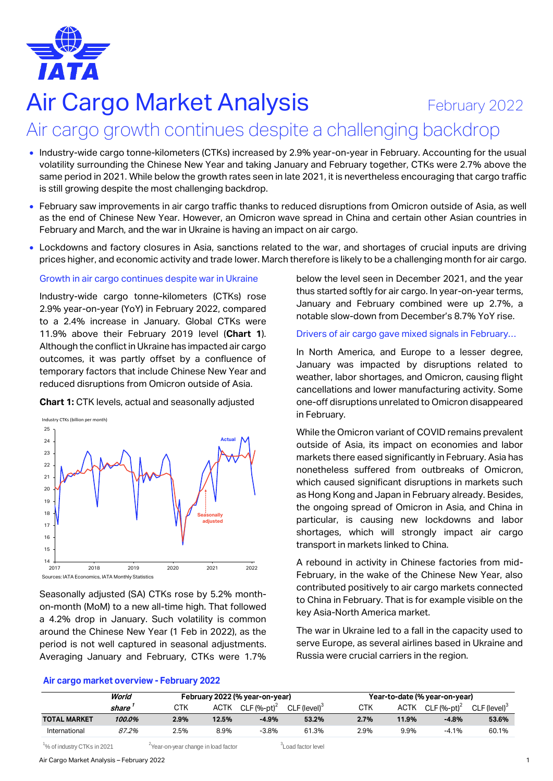

# **Air Cargo Market Analysis** February 2022 Air cargo growth continues despite a challenging backdrop

- Industry-wide cargo tonne-kilometers (CTKs) increased by 2.9% year-on-year in February. Accounting for the usual volatility surrounding the Chinese New Year and taking January and February together, CTKs were 2.7% above the same period in 2021. While below the growth rates seen in late 2021, it is nevertheless encouraging that cargo traffic is still growing despite the most challenging backdrop.
- February saw improvements in air cargo traffic thanks to reduced disruptions from Omicron outside of Asia, as well as the end of Chinese New Year. However, an Omicron wave spread in China and certain other Asian countries in February and March, and the war in Ukraine is having an impact on air cargo.
- Lockdowns and factory closures in Asia, sanctions related to the war, and shortages of crucial inputs are driving prices higher, and economic activity and trade lower. March therefore is likely to be a challenging month for air cargo.

## Growth in air cargo continues despite war in Ukraine

Industry-wide cargo tonne-kilometers (CTKs) rose 2.9% year-on-year (YoY) in February 2022, compared to a 2.4% increase in January. Global CTKs were 11.9% above their February 2019 level (**Chart 1**). Although the conflict in Ukraine has impacted air cargo outcomes, it was partly offset by a confluence of temporary factors that include Chinese New Year and reduced disruptions from Omicron outside of Asia.

**Chart 1:** CTK levels, actual and seasonally adjusted



Seasonally adjusted (SA) CTKs rose by 5.2% monthon-month (MoM) to a new all-time high. That followed a 4.2% drop in January. Such volatility is common around the Chinese New Year (1 Feb in 2022), as the period is not well captured in seasonal adjustments. Averaging January and February, CTKs were 1.7%

## **Air cargo market overview - February 2022**

below the level seen in December 2021, and the year thus started softly for air cargo. In year-on-year terms, January and February combined were up 2.7%, a notable slow-down from December's 8.7% YoY rise.

## Drivers of air cargo gave mixed signals in February…

In North America, and Europe to a lesser degree, January was impacted by disruptions related to weather, labor shortages, and Omicron, causing flight cancellations and lower manufacturing activity. Some one-off disruptions unrelated to Omicron disappeared in February.

While the Omicron variant of COVID remains prevalent outside of Asia, its impact on economies and labor markets there eased significantly in February. Asia has nonetheless suffered from outbreaks of Omicron, which caused significant disruptions in markets such as Hong Kong and Japan in February already. Besides, the ongoing spread of Omicron in Asia, and China in particular, is causing new lockdowns and labor shortages, which will strongly impact air cargo transport in markets linked to China.

A rebound in activity in Chinese factories from mid-February, in the wake of the Chinese New Year, also contributed positively to air cargo markets connected to China in February. That is for example visible on the key Asia-North America market.

The war in Ukraine led to a fall in the capacity used to serve Europe, as several airlines based in Ukraine and Russia were crucial carriers in the region.

|                     | World  | February 2022 (% year-on-year) |             |                |                          | Year-to-date (% year-on-year) |             |                |                          |  |
|---------------------|--------|--------------------------------|-------------|----------------|--------------------------|-------------------------------|-------------|----------------|--------------------------|--|
|                     | share  | СТК                            | <b>ACTK</b> | CLF $(%-pt)^2$ | CLF (level) <sup>3</sup> | СТК                           | <b>ACTK</b> | CLF $(%-pt)^2$ | CLF (level) <sup>3</sup> |  |
| <b>TOTAL MARKET</b> | 100.0% | 2.9%                           | 12.5%       | $-4.9%$        | 53.2%                    | 2.7%                          | 11.9%       | $-4.8%$        | 53.6%                    |  |
| International       | 87.2%  | 2.5%                           | 8.9%        | $-3.8%$        | 61.3%                    | 2.9%                          | 9.9%        | $-4.1%$        | 60.1%                    |  |

 $1\%$  of industry CTKs in 2021  $2\%$  2Year-on-year change in load factor  $3\%$  and factor level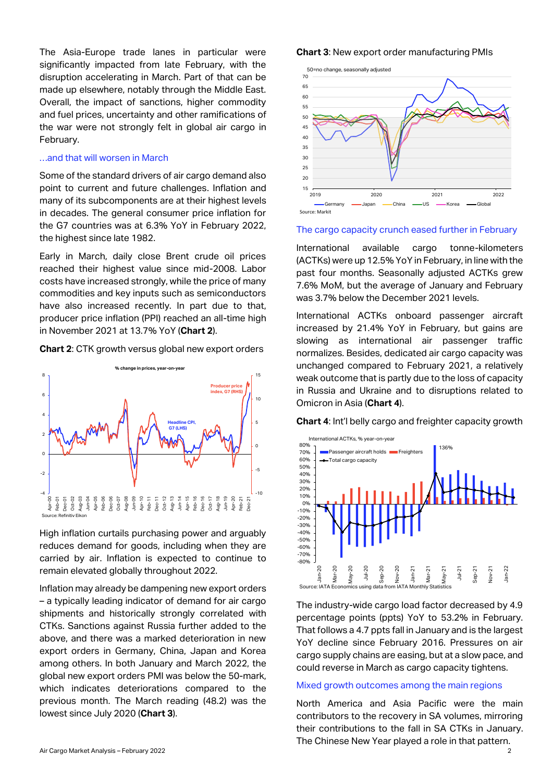The Asia-Europe trade lanes in particular were significantly impacted from late February, with the disruption accelerating in March. Part of that can be made up elsewhere, notably through the Middle East. Overall, the impact of sanctions, higher commodity and fuel prices, uncertainty and other ramifications of the war were not strongly felt in global air cargo in February.

#### …and that will worsen in March

Some of the standard drivers of air cargo demand also point to current and future challenges. Inflation and many of its subcomponents are at their highest levels in decades. The general consumer price inflation for the G7 countries was at 6.3% YoY in February 2022, the highest since late 1982.

Early in March, daily close Brent crude oil prices reached their highest value since mid-2008. Labor costs have increased strongly, while the price of many commodities and key inputs such as semiconductors have also increased recently. In part due to that, producer price inflation (PPI) reached an all-time high in November 2021 at 13.7% YoY (**Chart 2**).





High inflation curtails purchasing power and arguably reduces demand for goods, including when they are carried by air. Inflation is expected to continue to remain elevated globally throughout 2022.

Inflation may already be dampening new export orders – a typically leading indicator of demand for air cargo shipments and historically strongly correlated with CTKs. Sanctions against Russia further added to the above, and there was a marked deterioration in new export orders in Germany, China, Japan and Korea among others. In both January and March 2022, the global new export orders PMI was below the 50-mark, which indicates deteriorations compared to the previous month. The March reading (48.2) was the lowest since July 2020 (**Chart 3**).

#### **Chart 3**: New export order manufacturing PMIs



#### The cargo capacity crunch eased further in February

International available cargo tonne-kilometers (ACTKs) were up 12.5% YoY in February, in line with the past four months. Seasonally adjusted ACTKs grew 7.6% MoM, but the average of January and February was 3.7% below the December 2021 levels.

International ACTKs onboard passenger aircraft increased by 21.4% YoY in February, but gains are slowing as international air passenger traffic normalizes. Besides, dedicated air cargo capacity was unchanged compared to February 2021, a relatively weak outcome that is partly due to the loss of capacity in Russia and Ukraine and to disruptions related to Omicron in Asia (**Chart 4**).

**Chart 4**: Int'l belly cargo and freighter capacity growth



The industry-wide cargo load factor decreased by 4.9 percentage points (ppts) YoY to 53.2% in February. That follows a 4.7 ppts fall in January and is the largest YoY decline since February 2016. Pressures on air cargo supply chains are easing, but at a slow pace, and could reverse in March as cargo capacity tightens.

## Mixed growth outcomes among the main regions

North America and Asia Pacific were the main contributors to the recovery in SA volumes, mirroring their contributions to the fall in SA CTKs in January. The Chinese New Year played a role in that pattern.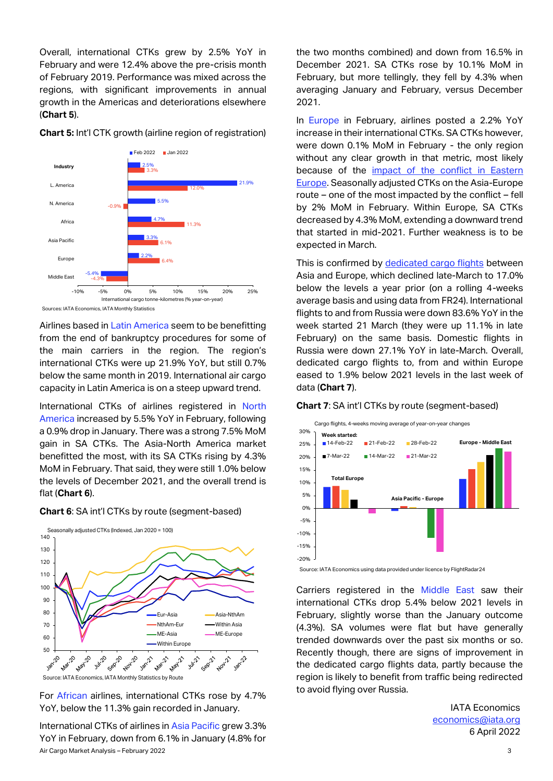Overall, international CTKs grew by 2.5% YoY in February and were 12.4% above the pre-crisis month of February 2019. Performance was mixed across the regions, with significant improvements in annual growth in the Americas and deteriorations elsewhere (**Chart 5**).

**Chart 5:** Int'l CTK growth (airline region of registration)



Sources: IATA Economics, IATA Monthly Statistics

Airlines based in Latin America seem to be benefitting from the end of bankruptcy procedures for some of the main carriers in the region. The region's international CTKs were up 21.9% YoY, but still 0.7% below the same month in 2019. International air cargo capacity in Latin America is on a steep upward trend.

International CTKs of airlines registered in North America increased by 5.5% YoY in February, following a 0.9% drop in January. There was a strong 7.5% MoM gain in SA CTKs. The Asia-North America market benefitted the most, with its SA CTKs rising by 4.3% MoM in February. That said, they were still 1.0% below the levels of December 2021, and the overall trend is flat (**Chart 6**).





Source: IATA Economics, IATA Monthly Statistics by Route

For African airlines, international CTKs rose by 4.7% YoY, below the 11.3% gain recorded in January.

Air Cargo Market Analysis – February 2022 3 International CTKs of airlines in Asia Pacific grew 3.3% YoY in February, down from 6.1% in January (4.8% for

the two months combined) and down from 16.5% in December 2021. SA CTKs rose by 10.1% MoM in February, but more tellingly, they fell by 4.3% when averaging January and February, versus December 2021.

In Europe in February, airlines posted a 2.2% YoY increase in their international CTKs. SA CTKs however, were down 0.1% MoM in February - the only region without any clear growth in that metric, most likely because of the [impact of the conflict in Eastern](https://www.iata.org/en/iata-repository/publications/economic-reports/the-impact-of-the-conflict-between-russia-and-ukraine-on-aviation/)  [Europe.](https://www.iata.org/en/iata-repository/publications/economic-reports/the-impact-of-the-conflict-between-russia-and-ukraine-on-aviation/) Seasonally adjusted CTKs on the Asia-Europe route – one of the most impacted by the conflict – fell by 2% MoM in February. Within Europe, SA CTKs decreased by 4.3% MoM, extending a downward trend that started in mid-2021. Further weakness is to be expected in March.

This is confirmed by [dedicated cargo flights](https://www.iata.org/en/iata-repository/publications/economic-reports/air-cargo-flights-show-how-the-impact-of-war-varies-across-markets/) between Asia and Europe, which declined late-March to 17.0% below the levels a year prior (on a rolling 4-weeks average basis and using data from FR24). International flights to and from Russia were down 83.6% YoY in the week started 21 March (they were up 11.1% in late February) on the same basis. Domestic flights in Russia were down 27.1% YoY in late-March. Overall, dedicated cargo flights to, from and within Europe eased to 1.9% below 2021 levels in the last week of data (**Chart 7**).

#### **Chart 7**: SA int'l CTKs by route (segment-based)



Source: IATA Economics using data provided under licence by FlightRadar24

Carriers registered in the Middle East saw their international CTKs drop 5.4% below 2021 levels in February, slightly worse than the January outcome (4.3%). SA volumes were flat but have generally trended downwards over the past six months or so. Recently though, there are signs of improvement in the dedicated cargo flights data, partly because the region is likely to benefit from traffic being redirected to avoid flying over Russia.

> IATA Economics [economics@iata.org](mailto:economics@iata.org) 6 April 2022